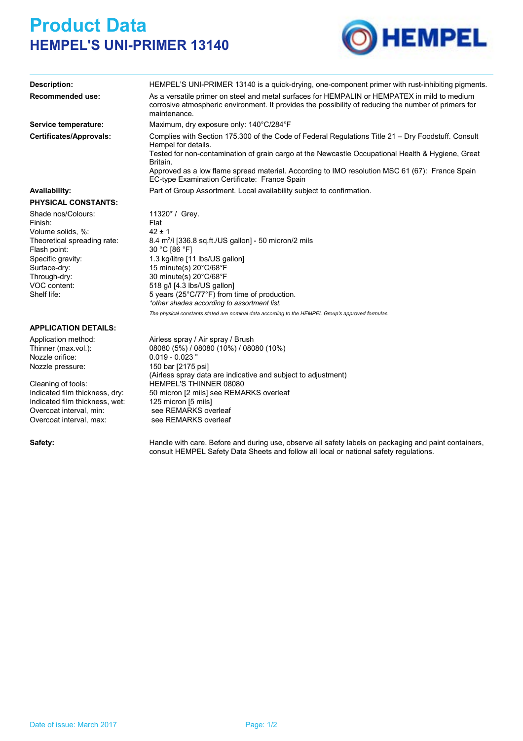## **Product Data HEMPEL'S UNI-PRIMER 13140**



| <b>Description:</b>                                                                                                                                                                   | HEMPEL'S UNI-PRIMER 13140 is a quick-drying, one-component primer with rust-inhibiting pigments.                                                                                                                                                                                                                                                                                                                                                                 |  |  |  |  |  |
|---------------------------------------------------------------------------------------------------------------------------------------------------------------------------------------|------------------------------------------------------------------------------------------------------------------------------------------------------------------------------------------------------------------------------------------------------------------------------------------------------------------------------------------------------------------------------------------------------------------------------------------------------------------|--|--|--|--|--|
| <b>Recommended use:</b>                                                                                                                                                               | As a versatile primer on steel and metal surfaces for HEMPALIN or HEMPATEX in mild to medium<br>corrosive atmospheric environment. It provides the possibility of reducing the number of primers for<br>maintenance.                                                                                                                                                                                                                                             |  |  |  |  |  |
| Service temperature:                                                                                                                                                                  | Maximum, dry exposure only: 140°C/284°F                                                                                                                                                                                                                                                                                                                                                                                                                          |  |  |  |  |  |
| <b>Certificates/Approvals:</b>                                                                                                                                                        | Complies with Section 175.300 of the Code of Federal Regulations Title 21 - Dry Foodstuff. Consult<br>Hempel for details.<br>Tested for non-contamination of grain cargo at the Newcastle Occupational Health & Hygiene, Great<br>Britain.                                                                                                                                                                                                                       |  |  |  |  |  |
|                                                                                                                                                                                       | Approved as a low flame spread material. According to IMO resolution MSC 61 (67): France Spain<br>EC-type Examination Certificate: France Spain                                                                                                                                                                                                                                                                                                                  |  |  |  |  |  |
| Availability:                                                                                                                                                                         | Part of Group Assortment. Local availability subject to confirmation.                                                                                                                                                                                                                                                                                                                                                                                            |  |  |  |  |  |
| <b>PHYSICAL CONSTANTS:</b>                                                                                                                                                            |                                                                                                                                                                                                                                                                                                                                                                                                                                                                  |  |  |  |  |  |
| Shade nos/Colours:<br>Finish:<br>Volume solids, %:<br>Theoretical spreading rate:<br>Flash point:<br>Specific gravity:<br>Surface-dry:<br>Through-dry:<br>VOC content:<br>Shelf life: | 11320* / Grey.<br>Flat<br>$42 \pm 1$<br>8.4 $m^2$ /I [336.8 sq.ft./US gallon] - 50 micron/2 mils<br>30 °C [86 °F]<br>1.3 kg/litre [11 lbs/US gallon]<br>15 minute(s) $20^{\circ}$ C/68 $^{\circ}$ F<br>30 minute(s) 20°C/68°F<br>518 g/l [4.3 lbs/US gallon]<br>5 years (25°C/77°F) from time of production.<br>*other shades according to assortment list.<br>The physical constants stated are nominal data according to the HEMPEL Group's approved formulas. |  |  |  |  |  |
| <b>APPLICATION DETAILS:</b>                                                                                                                                                           |                                                                                                                                                                                                                                                                                                                                                                                                                                                                  |  |  |  |  |  |
| Application method:<br>Thinner (max vol.):<br>Nozzle orifice:<br>Nozzle pressure:                                                                                                     | Airless spray / Air spray / Brush<br>08080 (5%) / 08080 (10%) / 08080 (10%)<br>$0.019 - 0.023$ "<br>150 bar [2175 psi]<br>(Airless spray data are indicative and subject to adjustment)                                                                                                                                                                                                                                                                          |  |  |  |  |  |
|                                                                                                                                                                                       |                                                                                                                                                                                                                                                                                                                                                                                                                                                                  |  |  |  |  |  |

Indicated film thickness, dry: 50 micron [2 mils] see REMARKS overleaf Indicated film thickness, wet: 125 micron [5 mils]<br>Overcoat interval. min: see REMARKS overleaf Overcoat interval, min: Overcoat interval, max: see REMARKS overleaf Cleaning of tools: HEMPEL'S THINNER 08080

Safety: Handle with care. Before and during use, observe all safety labels on packaging and paint containers, consult HEMPEL Safety Data Sheets and follow all local or national safety regulations.